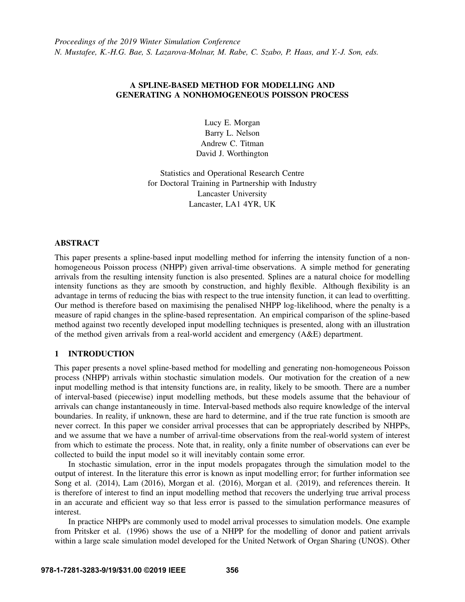# A SPLINE-BASED METHOD FOR MODELLING AND GENERATING A NONHOMOGENEOUS POISSON PROCESS

Lucy E. Morgan Barry L. Nelson Andrew C. Titman David J. Worthington

Statistics and Operational Research Centre for Doctoral Training in Partnership with Industry Lancaster University Lancaster, LA1 4YR, UK

# ABSTRACT

This paper presents a spline-based input modelling method for inferring the intensity function of a nonhomogeneous Poisson process (NHPP) given arrival-time observations. A simple method for generating arrivals from the resulting intensity function is also presented. Splines are a natural choice for modelling intensity functions as they are smooth by construction, and highly flexible. Although flexibility is an advantage in terms of reducing the bias with respect to the true intensity function, it can lead to overfitting. Our method is therefore based on maximising the penalised NHPP log-likelihood, where the penalty is a measure of rapid changes in the spline-based representation. An empirical comparison of the spline-based method against two recently developed input modelling techniques is presented, along with an illustration of the method given arrivals from a real-world accident and emergency (A&E) department.

# 1 INTRODUCTION

This paper presents a novel spline-based method for modelling and generating non-homogeneous Poisson process (NHPP) arrivals within stochastic simulation models. Our motivation for the creation of a new input modelling method is that intensity functions are, in reality, likely to be smooth. There are a number of interval-based (piecewise) input modelling methods, but these models assume that the behaviour of arrivals can change instantaneously in time. Interval-based methods also require knowledge of the interval boundaries. In reality, if unknown, these are hard to determine, and if the true rate function is smooth are never correct. In this paper we consider arrival processes that can be appropriately described by NHPPs, and we assume that we have a number of arrival-time observations from the real-world system of interest from which to estimate the process. Note that, in reality, only a finite number of observations can ever be collected to build the input model so it will inevitably contain some error.

In stochastic simulation, error in the input models propagates through the simulation model to the output of interest. In the literature this error is known as input modelling error; for further information see [Song et al. \(2014\),](#page-11-0) [Lam \(2016\),](#page-10-0) [Morgan et al. \(2016\),](#page-10-1) [Morgan et al. \(2019\),](#page-10-2) and references therein. It is therefore of interest to find an input modelling method that recovers the underlying true arrival process in an accurate and efficient way so that less error is passed to the simulation performance measures of interest.

In practice NHPPs are commonly used to model arrival processes to simulation models. One example from [Pritsker et al. \(1996\)](#page-10-3) shows the use of a NHPP for the modelling of donor and patient arrivals within a large scale simulation model developed for the United Network of Organ Sharing (UNOS). Other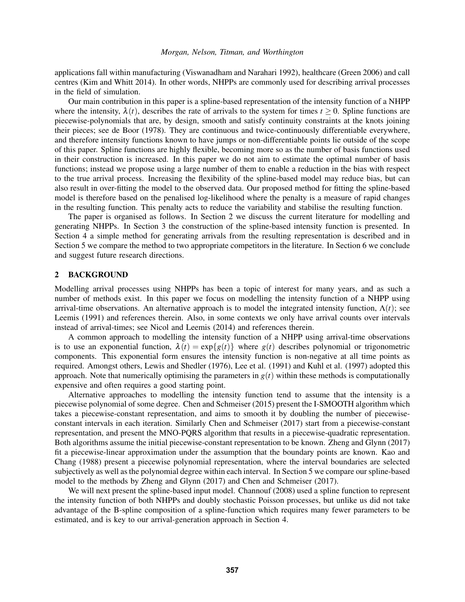applications fall within manufacturing [\(Viswanadham and Narahari 1992\)](#page-11-1), healthcare [\(Green 2006\)](#page-10-4) and call centres [\(Kim and Whitt 2014\)](#page-10-5). In other words, NHPPs are commonly used for describing arrival processes in the field of simulation.

Our main contribution in this paper is a spline-based representation of the intensity function of a NHPP where the intensity,  $\lambda(t)$ , describes the rate of arrivals to the system for times  $t \ge 0$ . Spline functions are piecewise-polynomials that are, by design, smooth and satisfy continuity constraints at the knots joining their pieces; see [de Boor \(1978\).](#page-10-6) They are continuous and twice-continuously differentiable everywhere, and therefore intensity functions known to have jumps or non-differentiable points lie outside of the scope of this paper. Spline functions are highly flexible, becoming more so as the number of basis functions used in their construction is increased. In this paper we do not aim to estimate the optimal number of basis functions; instead we propose using a large number of them to enable a reduction in the bias with respect to the true arrival process. Increasing the flexibility of the spline-based model may reduce bias, but can also result in over-fitting the model to the observed data. Our proposed method for fitting the spline-based model is therefore based on the penalised log-likelihood where the penalty is a measure of rapid changes in the resulting function. This penalty acts to reduce the variability and stabilise the resulting function.

The paper is organised as follows. In Section [2](#page-1-0) we discuss the current literature for modelling and generating NHPPs. In Section [3](#page-2-0) the construction of the spline-based intensity function is presented. In Section [4](#page-4-0) a simple method for generating arrivals from the resulting representation is described and in Section [5](#page-5-0) we compare the method to two appropriate competitors in the literature. In Section [6](#page-9-0) we conclude and suggest future research directions.

# <span id="page-1-0"></span>2 BACKGROUND

Modelling arrival processes using NHPPs has been a topic of interest for many years, and as such a number of methods exist. In this paper we focus on modelling the intensity function of a NHPP using arrival-time observations. An alternative approach is to model the integrated intensity function,  $\Lambda(t)$ ; see [Leemis \(1991\)](#page-10-7) and references therein. Also, in some contexts we only have arrival counts over intervals instead of arrival-times; see [Nicol and Leemis \(2014\)](#page-10-8) and references therein.

A common approach to modelling the intensity function of a NHPP using arrival-time observations is to use an exponential function,  $\lambda(t) = \exp\{g(t)\}\$  where  $g(t)$  describes polynomial or trigonometric components. This exponential form ensures the intensity function is non-negative at all time points as required. Amongst others, [Lewis and Shedler \(1976\),](#page-10-9) [Lee et al. \(1991\)](#page-10-10) and [Kuhl et al. \(1997\)](#page-10-11) adopted this approach. Note that numerically optimising the parameters in  $g(t)$  within these methods is computationally expensive and often requires a good starting point.

Alternative approaches to modelling the intensity function tend to assume that the intensity is a piecewise polynomial of some degree. [Chen and Schmeiser \(2015\)](#page-10-12) present the I-SMOOTH algorithm which takes a piecewise-constant representation, and aims to smooth it by doubling the number of piecewiseconstant intervals in each iteration. Similarly [Chen and Schmeiser \(2017\)](#page-10-13) start from a piecewise-constant representation, and present the MNO-PQRS algorithm that results in a piecewise-quadratic representation. Both algorithms assume the initial piecewise-constant representation to be known. [Zheng and Glynn \(2017\)](#page-11-2) fit a piecewise-linear approximation under the assumption that the boundary points are known. [Kao and](#page-10-14) [Chang \(1988\)](#page-10-14) present a piecewise polynomial representation, where the interval boundaries are selected subjectively as well as the polynomial degree within each interval. In Section [5](#page-5-0) we compare our spline-based model to the methods by [Zheng and Glynn \(2017\)](#page-11-2) and [Chen and Schmeiser \(2017\).](#page-10-13)

We will next present the spline-based input model. [Channouf \(2008\)](#page-10-15) used a spline function to represent the intensity function of both NHPPs and doubly stochastic Poisson processes, but unlike us did not take advantage of the B-spline composition of a spline-function which requires many fewer parameters to be estimated, and is key to our arrival-generation approach in Section [4.](#page-4-0)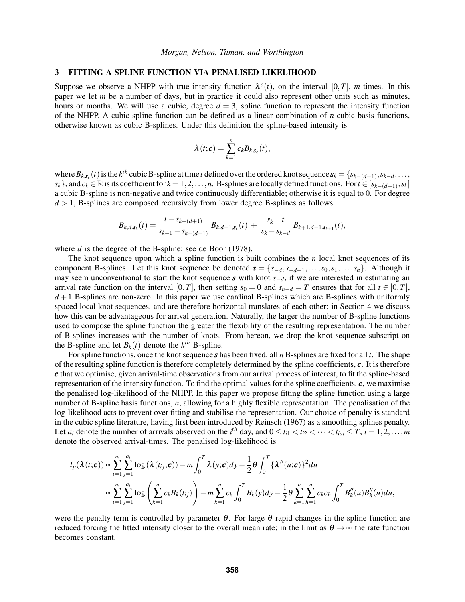### <span id="page-2-0"></span>3 FITTING A SPLINE FUNCTION VIA PENALISED LIKELIHOOD

Suppose we observe a NHPP with true intensity function  $\lambda^c(t)$ , on the interval [0,*T*], *m* times. In this paper we let *m* be a number of days, but in practice it could also represent other units such as minutes, hours or months. We will use a cubic, degree  $d = 3$ , spline function to represent the intensity function of the NHPP. A cubic spline function can be defined as a linear combination of *n* cubic basis functions, otherwise known as cubic B-splines. Under this definition the spline-based intensity is

$$
\lambda(t;\boldsymbol{c})=\sum_{k=1}^nc_kB_{k,\boldsymbol{s}_k}(t),
$$

where  $B_{k, s_k}(t)$  is the  $k^{th}$  cubic B-spline at time *t* defined over the ordered knot sequence  $s_k = \{s_{k-(d+1)}, s_{k-d}, \ldots, s_{k-d} \}$  $s_k$ , and  $c_k \in \mathbb{R}$  is its coefficient for  $k = 1, 2, ..., n$ . B-splines are locally defined functions. For  $t \in [s_{k-(d+1)}, s_k]$ a cubic B-spline is non-negative and twice continuously differentiable; otherwise it is equal to 0. For degree  $d > 1$ , B-splines are composed recursively from lower degree B-splines as follows

$$
B_{k,d,\mathbf{s}_k}(t)=\frac{t-s_{k-(d+1)}}{s_{k-1}-s_{k-(d+1)}}\ B_{k,d-1,\mathbf{s}_k}(t)\ +\ \frac{s_k-t}{s_k-s_{k-d}}\ B_{k+1,d-1,\mathbf{s}_{k+1}}(t),
$$

where *d* is the degree of the B-spline; see [de Boor \(1978\).](#page-10-6)

The knot sequence upon which a spline function is built combines the *n* local knot sequences of its component B-splines. Let this knot sequence be denoted  $\mathbf{s} = \{s_{-d}, s_{-d+1}, \ldots, s_0, s_1, \ldots, s_n\}$ . Although it may seem unconventional to start the knot sequence *s* with knot *s*−*d*, if we are interested in estimating an arrival rate function on the interval [0,*T*], then setting  $s_0 = 0$  and  $s_{n-d} = T$  ensures that for all  $t \in [0, T]$ ,  $d+1$  B-splines are non-zero. In this paper we use cardinal B-splines which are B-splines with uniformly spaced local knot sequences, and are therefore horizontal translates of each other; in Section [4](#page-4-0) we discuss how this can be advantageous for arrival generation. Naturally, the larger the number of B-spline functions used to compose the spline function the greater the flexibility of the resulting representation. The number of B-splines increases with the number of knots. From hereon, we drop the knot sequence subscript on the B-spline and let  $B_k(t)$  denote the  $k^{th}$  B-spline.

For spline functions, once the knot sequence *s* has been fixed, all *n* B-splines are fixed for all *t*. The shape of the resulting spline function is therefore completely determined by the spline coefficients, *c*. It is therefore *c* that we optimise, given arrival-time observations from our arrival process of interest, to fit the spline-based representation of the intensity function. To find the optimal values for the spline coefficients,  $c$ , we maximise the penalised log-likelihood of the NHPP. In this paper we propose fitting the spline function using a large number of B-spline basis functions, *n*, allowing for a highly flexible representation. The penalisation of the log-likelihood acts to prevent over fitting and stabilise the representation. Our choice of penalty is standard in the cubic spline literature, having first been introduced by [Reinsch \(1967\)](#page-11-3) as a smoothing splines penalty. Let  $a_i$  denote the number of arrivals observed on the  $i^{th}$  day, and  $0 \le t_{i1} < t_{i2} < \cdots < t_{ia_i} \le T$ ,  $i = 1, 2, \ldots, m$ denote the observed arrival-times. The penalised log-likelihood is

$$
l_p(\lambda(t; c)) \propto \sum_{i=1}^{m} \sum_{j=1}^{a_i} \log (\lambda(t_{ij}; c)) - m \int_0^T \lambda(y; c) dy - \frac{1}{2} \theta \int_0^T {\{\lambda''(u; c)\}}^2 du
$$
  

$$
\propto \sum_{i=1}^{m} \sum_{j=1}^{a_i} \log \left( \sum_{k=1}^n c_k B_k(t_{ij}) \right) - m \sum_{k=1}^{n} c_k \int_0^T B_k(y) dy - \frac{1}{2} \theta \sum_{k=1}^{n} \sum_{h=1}^n c_k c_h \int_0^T B_k''(u) B_h''(u) du,
$$

were the penalty term is controlled by parameter  $\theta$ . For large  $\theta$  rapid changes in the spline function are reduced forcing the fitted intensity closer to the overall mean rate; in the limit as  $\theta \to \infty$  the rate function becomes constant.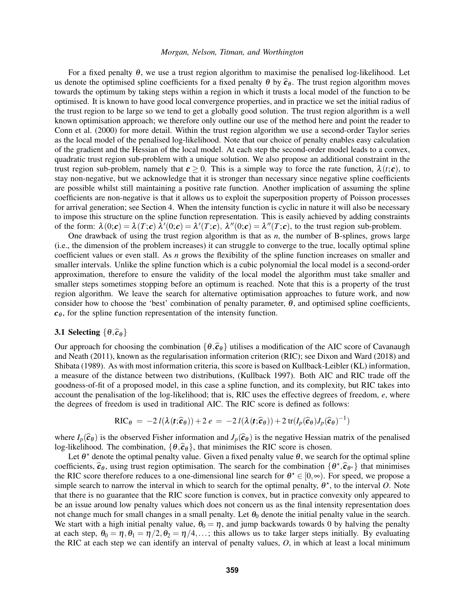For a fixed penalty  $\theta$ , we use a trust region algorithm to maximise the penalised log-likelihood. Let us denote the optimised spline coefficients for a fixed penalty  $\theta$  by  $\hat{c}_{\theta}$ . The trust region algorithm moves towards the optimum by taking steps within a region in which it trusts a local model of the function to be optimised. It is known to have good local convergence properties, and in practice we set the initial radius of the trust region to be large so we tend to get a globally good solution. The trust region algorithm is a well known optimisation approach; we therefore only outline our use of the method here and point the reader to [Conn et al. \(2000\)](#page-10-16) for more detail. Within the trust region algorithm we use a second-order Taylor series as the local model of the penalised log-likelihood. Note that our choice of penalty enables easy calculation of the gradient and the Hessian of the local model. At each step the second-order model leads to a convex, quadratic trust region sub-problem with a unique solution. We also propose an additional constraint in the trust region sub-problem, namely that  $c \ge 0$ . This is a simple way to force the rate function,  $\lambda(t; c)$ , to stay non-negative, but we acknowledge that it is stronger than necessary since negative spline coefficients are possible whilst still maintaining a positive rate function. Another implication of assuming the spline coefficients are non-negative is that it allows us to exploit the superposition property of Poisson processes for arrival generation; see Section [4.](#page-4-0) When the intensity function is cyclic in nature it will also be necessary to impose this structure on the spline function representation. This is easily achieved by adding constraints of the form:  $\lambda(0; c) = \lambda(T; c) \overline{\lambda}'(0; c) = \lambda'(T; c), \lambda''(0; c) = \lambda''(T; c)$ , to the trust region sub-problem.

One drawback of using the trust region algorithm is that as  $n$ , the number of B-splines, grows large (i.e., the dimension of the problem increases) it can struggle to converge to the true, locally optimal spline coefficient values or even stall. As *n* grows the flexibility of the spline function increases on smaller and smaller intervals. Unlike the spline function which is a cubic polynomial the local model is a second-order approximation, therefore to ensure the validity of the local model the algorithm must take smaller and smaller steps sometimes stopping before an optimum is reached. Note that this is a property of the trust region algorithm. We leave the search for alternative optimisation approaches to future work, and now consider how to choose the 'best' combination of penalty parameter,  $\theta$ , and optimised spline coefficients,  $c_{\theta}$ , for the spline function representation of the intensity function.

## 3.1 Selecting  $\{\theta,\hat{c}_\theta\}$

Our approach for choosing the combination  $\{\theta,\hat{c}_\theta\}$  utilises a modification of the AIC score of [Cavanaugh](#page-10-17) [and Neath \(2011\),](#page-10-17) known as the regularisation information criterion (RIC); see [Dixon and Ward \(2018\)](#page-10-18) and [Shibata \(1989\).](#page-11-4) As with most information criteria, this score is based on Kullback-Leibler (KL) information, a measure of the distance between two distributions, [\(Kullback 1997\)](#page-10-19). Both AIC and RIC trade off the goodness-of-fit of a proposed model, in this case a spline function, and its complexity, but RIC takes into account the penalisation of the log-likelihood; that is, RIC uses the effective degrees of freedom, *e*, where the degrees of freedom is used in traditional AIC. The RIC score is defined as follows:

$$
\text{RIC}_{\theta} = -2 l(\lambda(\mathbf{t}; \widehat{\mathbf{c}}_{\theta})) + 2 e = -2 l(\lambda(\mathbf{t}; \widehat{\mathbf{c}}_{\theta})) + 2 \text{tr}(I_p(\widehat{\mathbf{c}}_{\theta}) J_p(\widehat{\mathbf{c}}_{\theta})^{-1})
$$

where  $I_p(\hat{c}_{\theta})$  is the observed Fisher information and  $J_p(\hat{c}_{\theta})$  is the negative Hessian matrix of the penalised log-likelihood. The combination,  $\{\theta,\hat{c}_\theta\}$ , that minimises the RIC score is chosen.

Let  $\theta^*$  denote the optimal penalty value. Given a fixed penalty value  $\theta$ , we search for the optimal spline coefficients,  $\hat{\mathbf{c}}_{\theta}$ , using trust region optimisation. The search for the combination  $\{\theta^{\star}, \hat{\mathbf{c}}_{\theta^{\star}}\}$  that minimises the BIC score therefore reduces to a one dimensional line search for  $\theta^{\star} \subset [0, \infty)$ the RIC score therefore reduces to a one-dimensional line search for  $\theta^* \in [0,\infty)$ . For speed, we propose a simple search to narrow the interval in which to search for the optimal penalty,  $\theta^*$ , to the interval O. Note that there is no guarantee that the RIC score function is convex, but in practice convexity only appeared to be an issue around low penalty values which does not concern us as the final intensity representation does not change much for small changes in a small penalty. Let  $\theta_0$  denote the initial penalty value in the search. We start with a high initial penalty value,  $\theta_0 = \eta$ , and jump backwards towards 0 by halving the penalty at each step,  $\theta_0 = \eta$ ,  $\theta_1 = \eta/2$ ,  $\theta_2 = \eta/4$ ,...; this allows us to take larger steps initially. By evaluating the RIC at each step we can identify an interval of penalty values, *O*, in which at least a local minimum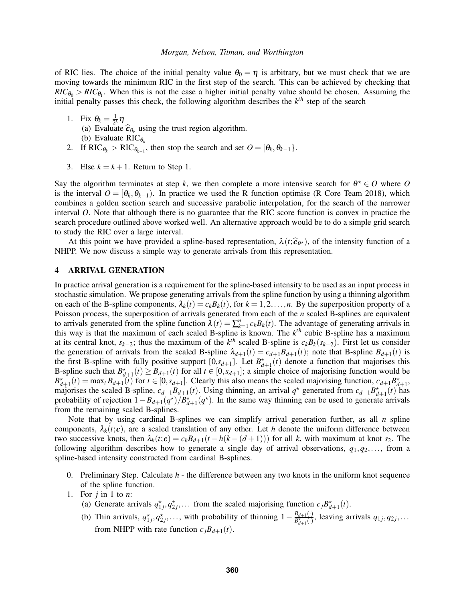of RIC lies. The choice of the initial penalty value  $\theta_0 = \eta$  is arbitrary, but we must check that we are moving towards the minimum RIC in the first step of the search. This can be achieved by checking that  $RIC_{\theta_0} > RIC_{\theta_1}$ . When this is not the case a higher initial penalty value should be chosen. Assuming the initial penalty passes this check, the following algorithm describes the  $k<sup>th</sup>$  step of the search

- 1. Fix  $\theta_k = \frac{1}{2^k}$  $rac{1}{2<sup>k</sup>}η$ (a) Evaluate  $\hat{\mathcal{C}}_{\theta_k}$  using the trust region algorithm.<br>(b) Evaluate PIC<sub>s</sub> (b) Evaluate  $\text{RIC}_{\theta_k}$
- 2. If  $\text{RIC}_{\theta_k} > \text{RIC}_{\theta_{k-1}}$ , then stop the search and set  $O = [\theta_k, \theta_{k-1}]$ .
- 3. Else  $k = k + 1$ . Return to Step 1.

Say the algorithm terminates at step k, we then complete a more intensive search for  $\theta^* \in O$  where O is the interval  $O = [\theta_k, \theta_{k-1})$ . In practice we used the R function optimise [\(R Core Team 2018\)](#page-11-5), which combines a golden section search and successive parabolic interpolation, for the search of the narrower interval *O*. Note that although there is no guarantee that the RIC score function is convex in practice the search procedure outlined above worked well. An alternative approach would be to do a simple grid search to study the RIC over a large interval.

At this point we have provided a spline-based representation,  $\lambda(t;\hat{\mathbf{c}}_{\theta^*})$ , of the intensity function of a<br>PP We now discuss a simple way to generate arrivals from this representation NHPP. We now discuss a simple way to generate arrivals from this representation.

### <span id="page-4-0"></span>4 ARRIVAL GENERATION

In practice arrival generation is a requirement for the spline-based intensity to be used as an input process in stochastic simulation. We propose generating arrivals from the spline function by using a thinning algorithm on each of the B-spline components,  $\lambda_k(t) = c_k B_k(t)$ , for  $k = 1, 2, ..., n$ . By the superposition property of a Poisson process, the superposition of arrivals generated from each of the *n* scaled B-splines are equivalent to arrivals generated from the spline function  $\lambda(t) = \sum_{k=1}^{n} c_k B_k(t)$ . The advantage of generating arrivals in this way is that the maximum of each scaled B-spline is known. The *k th* cubic B-spline has a maximum at its central knot,  $s_{k-2}$ ; thus the maximum of the  $k^{th}$  scaled B-spline is  $c_k B_k(s_{k-2})$ . First let us consider the generation of arrivals from the scaled B-spline  $\lambda_{d+1}(t) = c_{d+1}B_{d+1}(t)$ ; note that B-spline  $B_{d+1}(t)$  is the first B-spline with fully positive support  $[0, s_{d+1}]$ . Let  $B_{d+1}^{\star}(t)$  denote a function that majorises this B-spline such that  $B_{d+1}^*(t) \geq B_{d+1}(t)$  for all  $t \in [0, s_{d+1}]$ ; a simple choice of majorising function would be  $B_{d+1}^{\star}(t) = \max_{t} B_{d+1}(t)$  for  $t \in [0, s_{d+1}]$ . Clearly this also means the scaled majorising function,  $c_{d+1}B_{d+1}^{\star}$ , majorises the scaled B-spline,  $c_{d+1}B_{d+1}(t)$ . Using thinning, an arrival  $q^*$  generated from  $c_{d+1}B_{d+1}^*(t)$  has probability of rejection  $1 - B_{d+1}(q^*)/B_{d+1}^*(q^*)$ . In the same way thinning can be used to generate arrivals from the remaining scaled B-splines.

Note that by using cardinal B-splines we can simplify arrival generation further, as all *n* spline components,  $\lambda_k(t;\mathbf{c})$ , are a scaled translation of any other. Let *h* denote the uniform difference between two successive knots, then  $\lambda_k(t;\mathbf{c}) = c_k B_{d+1}(t - h(k - (d+1)))$  for all *k*, with maximum at knot *s*<sub>2</sub>. The following algorithm describes how to generate a single day of arrival observations, *q*1,*q*2,..., from a spline-based intensity constructed from cardinal B-splines.

- 0. Preliminary Step. Calculate *h* the difference between any two knots in the uniform knot sequence of the spline function.
- 1. For *j* in 1 to *n*:
	- (a) Generate arrivals  $q_{1j}^*$ ,  $q_{2j}^*$ ,... from the scaled majorising function  $c_j B_{d+1}^*(t)$ .
	- (b) Thin arrivals,  $q_{1j}^{\star}, q_{2j}^{\star}, \ldots$ , with probability of thinning  $1 \frac{B_{d+1}(\cdot)}{B_{d+1}^{\star}(\cdot)}$  $\frac{B_{d+1}(\cdot)}{B_{d+1}^{\times}(\cdot)}$ , leaving arrivals  $q_{1j}, q_{2j}, \ldots$ from NHPP with rate function  $c_jB_{d+1}(t)$ .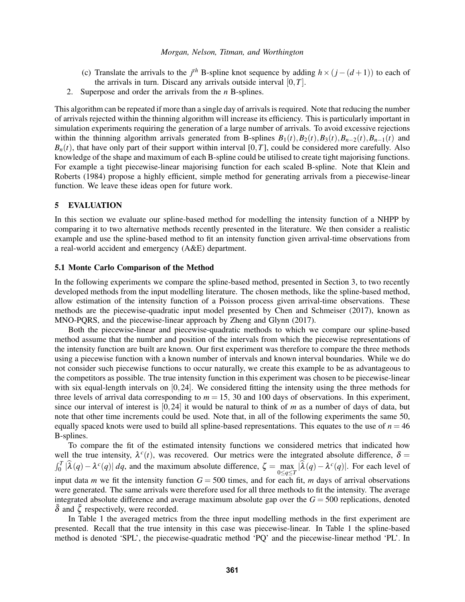- (c) Translate the arrivals to the  $j<sup>th</sup>$  B-spline knot sequence by adding  $h \times (j (d + 1))$  to each of the arrivals in turn. Discard any arrivals outside interval [0,*T*].
- 2. Superpose and order the arrivals from the *n* B-splines.

This algorithm can be repeated if more than a single day of arrivals is required. Note that reducing the number of arrivals rejected within the thinning algorithm will increase its efficiency. This is particularly important in simulation experiments requiring the generation of a large number of arrivals. To avoid excessive rejections within the thinning algorithm arrivals generated from B-splines  $B_1(t)$ ,  $B_2(t)$ ,  $B_3(t)$ ,  $B_{n-2}(t)$ ,  $B_{n-1}(t)$  and  $B_n(t)$ , that have only part of their support within interval [0,*T*], could be considered more carefully. Also knowledge of the shape and maximum of each B-spline could be utilised to create tight majorising functions. For example a tight piecewise-linear majorising function for each scaled B-spline. Note that [Klein and](#page-10-20) [Roberts \(1984\)](#page-10-20) propose a highly efficient, simple method for generating arrivals from a piecewise-linear function. We leave these ideas open for future work.

# <span id="page-5-0"></span>5 EVALUATION

In this section we evaluate our spline-based method for modelling the intensity function of a NHPP by comparing it to two alternative methods recently presented in the literature. We then consider a realistic example and use the spline-based method to fit an intensity function given arrival-time observations from a real-world accident and emergency (A&E) department.

## 5.1 Monte Carlo Comparison of the Method

In the following experiments we compare the spline-based method, presented in Section [3,](#page-2-0) to two recently developed methods from the input modelling literature. The chosen methods, like the spline-based method, allow estimation of the intensity function of a Poisson process given arrival-time observations. These methods are the piecewise-quadratic input model presented by [Chen and Schmeiser \(2017\),](#page-10-13) known as MNO-PQRS, and the piecewise-linear approach by [Zheng and Glynn \(2017\).](#page-11-2)

Both the piecewise-linear and piecewise-quadratic methods to which we compare our spline-based method assume that the number and position of the intervals from which the piecewise representations of the intensity function are built are known. Our first experiment was therefore to compare the three methods using a piecewise function with a known number of intervals and known interval boundaries. While we do not consider such piecewise functions to occur naturally, we create this example to be as advantageous to the competitors as possible. The true intensity function in this experiment was chosen to be piecewise-linear with six equal-length intervals on  $[0,24]$ . We considered fitting the intensity using the three methods for three levels of arrival data corresponding to  $m = 15$ , 30 and 100 days of observations. In this experiment, since our interval of interest is [0,24] it would be natural to think of *m* as a number of days of data, but note that other time increments could be used. Note that, in all of the following experiments the same 50, equally spaced knots were used to build all spline-based representations. This equates to the use of  $n = 46$ B-splines.

To compare the fit of the estimated intensity functions we considered metrics that indicated how well the true intensity,  $\lambda^c(t)$ , was recovered. Our metrics were the integrated absolute difference,  $\delta$  =  $\int_0^T |\hat{\lambda}(q) - \lambda^c(q)| dq$ , and the maximum absolute difference,  $\zeta = \max_{0 \le q \le T} |\hat{\lambda}(q) - \lambda^c(q)|$ . For each level of input data *m* we fit the intensity function  $G = 500$  times, and for each fit, *m* days of arrival observations were generated. The same arrivals were therefore used for all three methods to fit the intensity. The average integrated absolute difference and average maximum absolute gap over the  $G = 500$  replications, denoted  $\delta$  and  $\zeta$  respectively, were recorded.

In Table [1](#page-6-0) the averaged metrics from the three input modelling methods in the first experiment are presented. Recall that the true intensity in this case was piecewise-linear. In Table [1](#page-6-0) the spline-based method is denoted 'SPL', the piecewise-quadratic method 'PQ' and the piecewise-linear method 'PL'. In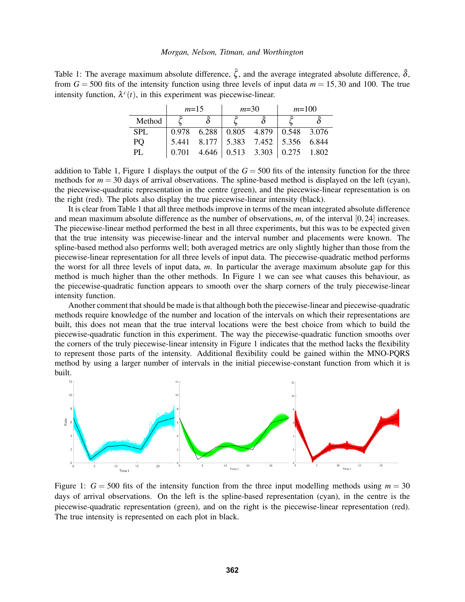<span id="page-6-0"></span>Table 1: The average maximum absolute difference,  $\bar{\zeta}$ , and the average integrated absolute difference,  $\bar{\delta}$ , from  $G = 500$  fits of the intensity function using three levels of input data  $m = 15,30$  and 100. The true intensity function,  $\lambda^c(t)$ , in this experiment was piecewise-linear.

|        | $m=15$ |  | $m=30$ |                                                     | $m=100$ |  |
|--------|--------|--|--------|-----------------------------------------------------|---------|--|
| Method |        |  |        |                                                     |         |  |
| SPL.   |        |  |        | $0.978$ 6.288 0.805 4.879 0.548 3.076               |         |  |
| PQ     |        |  |        | 5.441 8.177 5.383 7.452 5.356 6.844                 |         |  |
| PL     | 0.701  |  |        | $4.646 \mid 0.513 \mid 3.303 \mid 0.275 \mid 1.802$ |         |  |

addition to Table [1,](#page-6-0) Figure [1](#page-6-1) displays the output of the  $G = 500$  fits of the intensity function for the three methods for  $m = 30$  days of arrival observations. The spline-based method is displayed on the left (cyan), the piecewise-quadratic representation in the centre (green), and the piecewise-linear representation is on the right (red). The plots also display the true piecewise-linear intensity (black).

It is clear from Table [1](#page-6-0) that all three methods improve in terms of the mean integrated absolute difference and mean maximum absolute difference as the number of observations, *m*, of the interval [0,24] increases. The piecewise-linear method performed the best in all three experiments, but this was to be expected given that the true intensity was piecewise-linear and the interval number and placements were known. The spline-based method also performs well; both averaged metrics are only slightly higher than those from the piecewise-linear representation for all three levels of input data. The piecewise-quadratic method performs the worst for all three levels of input data, *m*. In particular the average maximum absolute gap for this method is much higher than the other methods. In Figure [1](#page-6-1) we can see what causes this behaviour, as the piecewise-quadratic function appears to smooth over the sharp corners of the truly piecewise-linear intensity function.

Another comment that should be made is that although both the piecewise-linear and piecewise-quadratic methods require knowledge of the number and location of the intervals on which their representations are built, this does not mean that the true interval locations were the best choice from which to build the piecewise-quadratic function in this experiment. The way the piecewise-quadratic function smooths over the corners of the truly piecewise-linear intensity in Figure [1](#page-6-1) indicates that the method lacks the flexibility to represent those parts of the intensity. Additional flexibility could be gained within the MNO-PQRS method by using a larger number of intervals in the initial piecewise-constant function from which it is built.



<span id="page-6-1"></span>Figure 1:  $G = 500$  fits of the intensity function from the three input modelling methods using  $m = 30$ days of arrival observations. On the left is the spline-based representation (cyan), in the centre is the piecewise-quadratic representation (green), and on the right is the piecewise-linear representation (red). The true intensity is represented on each plot in black.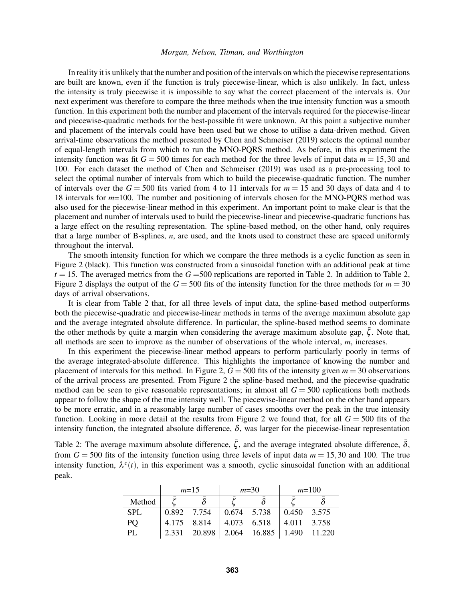In reality it is unlikely that the number and position of the intervals on which the piecewise representations are built are known, even if the function is truly piecewise-linear, which is also unlikely. In fact, unless the intensity is truly piecewise it is impossible to say what the correct placement of the intervals is. Our next experiment was therefore to compare the three methods when the true intensity function was a smooth function. In this experiment both the number and placement of the intervals required for the piecewise-linear and piecewise-quadratic methods for the best-possible fit were unknown. At this point a subjective number and placement of the intervals could have been used but we chose to utilise a data-driven method. Given arrival-time observations the method presented by [Chen and Schmeiser \(2019\)](#page-10-21) selects the optimal number of equal-length intervals from which to run the MNO-PQRS method. As before, in this experiment the intensity function was fit  $G = 500$  times for each method for the three levels of input data  $m = 15,30$  and 100. For each dataset the method of [Chen and Schmeiser \(2019\)](#page-10-21) was used as a pre-processing tool to select the optimal number of intervals from which to build the piecewise-quadratic function. The number of intervals over the  $G = 500$  fits varied from 4 to 11 intervals for  $m = 15$  and 30 days of data and 4 to 18 intervals for *m*=100. The number and positioning of intervals chosen for the MNO-PQRS method was also used for the piecewise-linear method in this experiment. An important point to make clear is that the placement and number of intervals used to build the piecewise-linear and piecewise-quadratic functions has a large effect on the resulting representation. The spline-based method, on the other hand, only requires that a large number of B-splines, *n*, are used, and the knots used to construct these are spaced uniformly throughout the interval.

The smooth intensity function for which we compare the three methods is a cyclic function as seen in Figure [2](#page-8-0) (black). This function was constructed from a sinusoidal function with an additional peak at time  $t = 15$ . The averaged metrics from the  $G = 500$  replications are reported in Table [2.](#page-7-0) In addition to Table [2,](#page-7-0) Figure [2](#page-8-0) displays the output of the  $G = 500$  fits of the intensity function for the three methods for  $m = 30$ days of arrival observations.

It is clear from Table [2](#page-7-0) that, for all three levels of input data, the spline-based method outperforms both the piecewise-quadratic and piecewise-linear methods in terms of the average maximum absolute gap and the average integrated absolute difference. In particular, the spline-based method seems to dominate the other methods by quite a margin when considering the average maximum absolute gap,  $\zeta$ . Note that, all methods are seen to improve as the number of observations of the whole interval, *m*, increases.

In this experiment the piecewise-linear method appears to perform particularly poorly in terms of the average integrated-absolute difference. This highlights the importance of knowing the number and placement of intervals for this method. In Figure [2,](#page-8-0)  $G = 500$  fits of the intensity given  $m = 30$  observations of the arrival process are presented. From Figure [2](#page-8-0) the spline-based method, and the piecewise-quadratic method can be seen to give reasonable representations; in almost all  $G = 500$  replications both methods appear to follow the shape of the true intensity well. The piecewise-linear method on the other hand appears to be more erratic, and in a reasonably large number of cases smooths over the peak in the true intensity function. Looking in more detail at the results from Figure [2](#page-8-0) we found that, for all  $G = 500$  fits of the intensity function, the integrated absolute difference,  $\delta$ , was larger for the piecewise-linear representation

<span id="page-7-0"></span>Table 2: The average maximum absolute difference,  $\bar{\zeta}$ , and the average integrated absolute difference,  $\bar{\delta}$ , from  $G = 500$  fits of the intensity function using three levels of input data  $m = 15,30$  and 100. The true intensity function,  $\lambda^c(t)$ , in this experiment was a smooth, cyclic sinusoidal function with an additional peak.

|            | $m=15$      |        | $m=30$      |                               | $m=100$                         |  |
|------------|-------------|--------|-------------|-------------------------------|---------------------------------|--|
| Method     |             |        |             |                               |                                 |  |
| <b>SPL</b> | 0.892 7.754 |        | 0.674 5.738 |                               | $\vert 0.450 \vert 3.575 \vert$ |  |
| PQ.        | 4.175 8.814 |        | 4.073 6.518 |                               | $ 4.011 \quad 3.758$            |  |
| PL.        | 2.331       | 20.898 |             | $2.064$ 16.885   1.490 11.220 |                                 |  |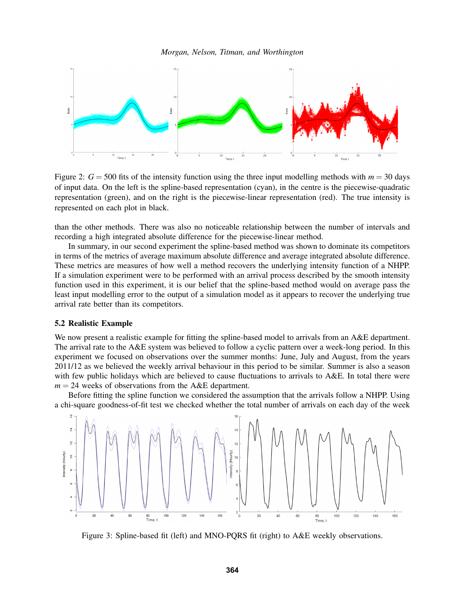

<span id="page-8-0"></span>Figure 2:  $G = 500$  fits of the intensity function using the three input modelling methods with  $m = 30$  days of input data. On the left is the spline-based representation (cyan), in the centre is the piecewise-quadratic representation (green), and on the right is the piecewise-linear representation (red). The true intensity is represented on each plot in black.

than the other methods. There was also no noticeable relationship between the number of intervals and recording a high integrated absolute difference for the piecewise-linear method.

In summary, in our second experiment the spline-based method was shown to dominate its competitors in terms of the metrics of average maximum absolute difference and average integrated absolute difference. These metrics are measures of how well a method recovers the underlying intensity function of a NHPP. If a simulation experiment were to be performed with an arrival process described by the smooth intensity function used in this experiment, it is our belief that the spline-based method would on average pass the least input modelling error to the output of a simulation model as it appears to recover the underlying true arrival rate better than its competitors.

### 5.2 Realistic Example

We now present a realistic example for fitting the spline-based model to arrivals from an A&E department. The arrival rate to the A&E system was believed to follow a cyclic pattern over a week-long period. In this experiment we focused on observations over the summer months: June, July and August, from the years 2011/12 as we believed the weekly arrival behaviour in this period to be similar. Summer is also a season with few public holidays which are believed to cause fluctuations to arrivals to A&E. In total there were  $m = 24$  weeks of observations from the A&E department.

Before fitting the spline function we considered the assumption that the arrivals follow a NHPP. Using a chi-square goodness-of-fit test we checked whether the total number of arrivals on each day of the week



<span id="page-8-1"></span>Figure 3: Spline-based fit (left) and MNO-PQRS fit (right) to A&E weekly observations.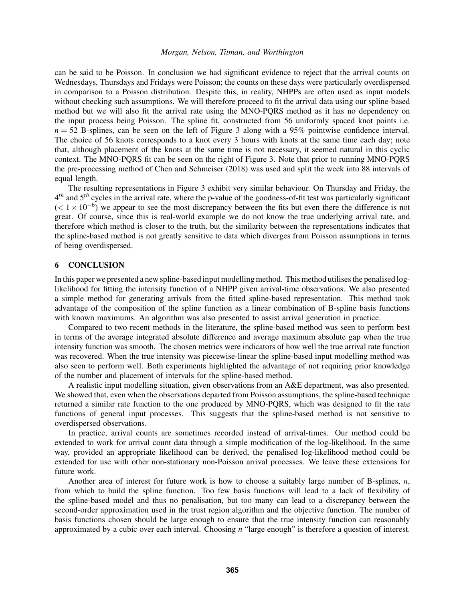can be said to be Poisson. In conclusion we had significant evidence to reject that the arrival counts on Wednesdays, Thursdays and Fridays were Poisson; the counts on these days were particularly overdispersed in comparison to a Poisson distribution. Despite this, in reality, NHPPs are often used as input models without checking such assumptions. We will therefore proceed to fit the arrival data using our spline-based method but we will also fit the arrival rate using the MNO-PQRS method as it has no dependency on the input process being Poisson. The spline fit, constructed from 56 uniformly spaced knot points i.e.  $n = 52$  B-splines, can be seen on the left of Figure [3](#page-8-1) along with a 95% pointwise confidence interval. The choice of 56 knots corresponds to a knot every 3 hours with knots at the same time each day; note that, although placement of the knots at the same time is not necessary, it seemed natural in this cyclic context. The MNO-PQRS fit can be seen on the right of Figure [3.](#page-8-1) Note that prior to running MNO-PQRS the pre-processing method of [Chen and Schmeiser \(2018\)](#page-10-22) was used and split the week into 88 intervals of equal length.

The resulting representations in Figure [3](#page-8-1) exhibit very similar behaviour. On Thursday and Friday, the 4 *th* and 5*th* cycles in the arrival rate, where the p-value of the goodness-of-fit test was particularly significant  $(< 1 \times 10^{-6}$ ) we appear to see the most discrepancy between the fits but even there the difference is not great. Of course, since this is real-world example we do not know the true underlying arrival rate, and therefore which method is closer to the truth, but the similarity between the representations indicates that the spline-based method is not greatly sensitive to data which diverges from Poisson assumptions in terms of being overdispersed.

## <span id="page-9-0"></span>6 CONCLUSION

In this paper we presented a new spline-based input modelling method. This method utilises the penalised loglikelihood for fitting the intensity function of a NHPP given arrival-time observations. We also presented a simple method for generating arrivals from the fitted spline-based representation. This method took advantage of the composition of the spline function as a linear combination of B-spline basis functions with known maximums. An algorithm was also presented to assist arrival generation in practice.

Compared to two recent methods in the literature, the spline-based method was seen to perform best in terms of the average integrated absolute difference and average maximum absolute gap when the true intensity function was smooth. The chosen metrics were indicators of how well the true arrival rate function was recovered. When the true intensity was piecewise-linear the spline-based input modelling method was also seen to perform well. Both experiments highlighted the advantage of not requiring prior knowledge of the number and placement of intervals for the spline-based method.

A realistic input modelling situation, given observations from an A&E department, was also presented. We showed that, even when the observations departed from Poisson assumptions, the spline-based technique returned a similar rate function to the one produced by MNO-PQRS, which was designed to fit the rate functions of general input processes. This suggests that the spline-based method is not sensitive to overdispersed observations.

In practice, arrival counts are sometimes recorded instead of arrival-times. Our method could be extended to work for arrival count data through a simple modification of the log-likelihood. In the same way, provided an appropriate likelihood can be derived, the penalised log-likelihood method could be extended for use with other non-stationary non-Poisson arrival processes. We leave these extensions for future work.

Another area of interest for future work is how to choose a suitably large number of B-splines, *n*, from which to build the spline function. Too few basis functions will lead to a lack of flexibility of the spline-based model and thus no penalisation, but too many can lead to a discrepancy between the second-order approximation used in the trust region algorithm and the objective function. The number of basis functions chosen should be large enough to ensure that the true intensity function can reasonably approximated by a cubic over each interval. Choosing *n* "large enough" is therefore a question of interest.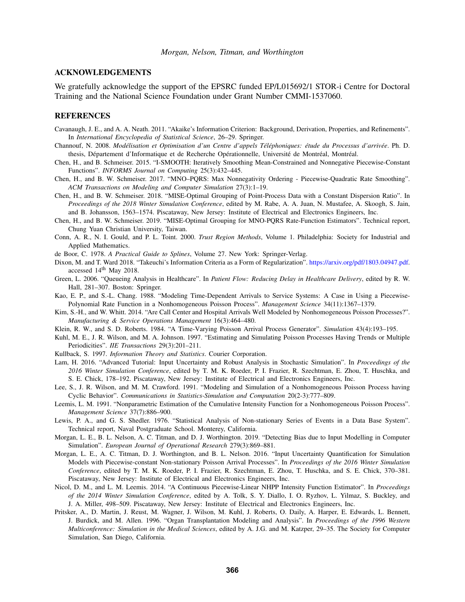# ACKNOWLEDGEMENTS

We gratefully acknowledge the support of the EPSRC funded EP/L015692/1 STOR-i Centre for Doctoral Training and the National Science Foundation under Grant Number CMMI-1537060.

#### REFERENCES

- <span id="page-10-17"></span>Cavanaugh, J. E., and A. A. Neath. 2011. "Akaike's Information Criterion: Background, Derivation, Properties, and Refinements". In *International Encyclopedia of Statistical Science*, 26–29. Springer.
- <span id="page-10-15"></span>Channouf, N. 2008. *Modelisation et Optimisation d'un Centre d'appels T ´ el´ ephoniques: ´ etude du Processus d'arriv ´ ee´* . Ph. D. thesis, Département d'Informatique et de Recherche Opérationnelle, Université de Montréal, Montréal.
- <span id="page-10-12"></span>Chen, H., and B. Schmeiser. 2015. "I-SMOOTH: Iteratively Smoothing Mean-Constrained and Nonnegative Piecewise-Constant Functions". *INFORMS Journal on Computing* 25(3):432–445.
- <span id="page-10-13"></span>Chen, H., and B. W. Schmeiser. 2017. "MNO–PQRS: Max Nonnegativity Ordering - Piecewise-Quadratic Rate Smoothing". *ACM Transactions on Modeling and Computer Simulation* 27(3):1–19.
- <span id="page-10-22"></span>Chen, H., and B. W. Schmeiser. 2018. "MISE-Optimal Grouping of Point-Process Data with a Constant Dispersion Ratio". In *Proceedings of the 2018 Winter Simulation Conference*, edited by M. Rabe, A. A. Juan, N. Mustafee, A. Skoogh, S. Jain, and B. Johansson, 1563–1574. Piscataway, New Jersey: Institute of Electrical and Electronics Engineers, Inc.
- <span id="page-10-21"></span>Chen, H., and B. W. Schmeiser. 2019. "MISE-Optimal Grouping for MNO-PQRS Rate-Function Estimators". Technical report, Chung Yuan Christian University, Taiwan.
- <span id="page-10-16"></span>Conn, A. R., N. I. Gould, and P. L. Toint. 2000. *Trust Region Methods*, Volume 1. Philadelphia: Society for Industrial and Applied Mathematics.
- <span id="page-10-6"></span>de Boor, C. 1978. *A Practical Guide to Splines*, Volume 27. New York: Springer-Verlag.
- <span id="page-10-18"></span>Dixon, M. and T. Ward 2018. "Takeuchi's Information Criteria as a Form of Regularization". [https://arxiv.org/pdf/1803.04947.pdf.](https://arxiv.org/pdf/1803.04947.pdf) accessed 14th May 2018.
- <span id="page-10-4"></span>Green, L. 2006. "Queueing Analysis in Healthcare". In *Patient Flow: Reducing Delay in Healthcare Delivery*, edited by R. W. Hall, 281–307. Boston: Springer.
- <span id="page-10-14"></span>Kao, E. P., and S.-L. Chang. 1988. "Modeling Time-Dependent Arrivals to Service Systems: A Case in Using a Piecewise-Polynomial Rate Function in a Nonhomogeneous Poisson Process". *Management Science* 34(11):1367–1379.
- <span id="page-10-5"></span>Kim, S.-H., and W. Whitt. 2014. "Are Call Center and Hospital Arrivals Well Modeled by Nonhomogeneous Poisson Processes?". *Manufacturing & Service Operations Management* 16(3):464–480.
- <span id="page-10-20"></span>Klein, R. W., and S. D. Roberts. 1984. "A Time-Varying Poisson Arrival Process Generator". *Simulation* 43(4):193–195.
- <span id="page-10-11"></span>Kuhl, M. E., J. R. Wilson, and M. A. Johnson. 1997. "Estimating and Simulating Poisson Processes Having Trends or Multiple Periodicities". *IIE Transactions* 29(3):201–211.
- <span id="page-10-19"></span>Kullback, S. 1997. *Information Theory and Statistics*. Courier Corporation.
- <span id="page-10-0"></span>Lam, H. 2016. "Advanced Tutorial: Input Uncertainty and Robust Analysis in Stochastic Simulation". In *Proceedings of the 2016 Winter Simulation Conference*, edited by T. M. K. Roeder, P. I. Frazier, R. Szechtman, E. Zhou, T. Huschka, and S. E. Chick, 178–192. Piscataway, New Jersey: Institute of Electrical and Electronics Engineers, Inc.
- <span id="page-10-10"></span>Lee, S., J. R. Wilson, and M. M. Crawford. 1991. "Modeling and Simulation of a Nonhomogeneous Poisson Process having Cyclic Behavior". *Communications in Statistics-Simulation and Computation* 20(2-3):777–809.
- <span id="page-10-7"></span>Leemis, L. M. 1991. "Nonparametric Estimation of the Cumulative Intensity Function for a Nonhomogeneous Poisson Process". *Management Science* 37(7):886–900.
- <span id="page-10-9"></span>Lewis, P. A., and G. S. Shedler. 1976. "Statistical Analysis of Non-stationary Series of Events in a Data Base System". Technical report, Naval Postgraduate School. Monterey, California.
- <span id="page-10-2"></span>Morgan, L. E., B. L. Nelson, A. C. Titman, and D. J. Worthington. 2019. "Detecting Bias due to Input Modelling in Computer Simulation". *European Journal of Operational Research* 279(3):869–881.
- <span id="page-10-1"></span>Morgan, L. E., A. C. Titman, D. J. Worthington, and B. L. Nelson. 2016. "Input Uncertainty Quantification for Simulation Models with Piecewise-constant Non-stationary Poisson Arrival Processes". In *Proceedings of the 2016 Winter Simulation Conference*, edited by T. M. K. Roeder, P. I. Frazier, R. Szechtman, E. Zhou, T. Huschka, and S. E. Chick, 370–381. Piscataway, New Jersey: Institute of Electrical and Electronics Engineers, Inc.
- <span id="page-10-8"></span>Nicol, D. M., and L. M. Leemis. 2014. "A Continuous Piecewise-Linear NHPP Intensity Function Estimator". In *Proceedings of the 2014 Winter Simulation Conference*, edited by A. Tolk, S. Y. Diallo, I. O. Ryzhov, L. Yilmaz, S. Buckley, and J. A. Miller, 498–509. Piscataway, New Jersey: Institute of Electrical and Electronics Engineers, Inc.
- <span id="page-10-3"></span>Pritsker, A., D. Martin, J. Reust, M. Wagner, J. Wilson, M. Kuhl, J. Roberts, O. Daily, A. Harper, E. Edwards, L. Bennett, J. Burdick, and M. Allen. 1996. "Organ Transplantation Modeling and Analysis". In *Proceedings of the 1996 Western Multiconference: Simulation in the Medical Sciences*, edited by A. J.G. and M. Katzper, 29–35. The Society for Computer Simulation, San Diego, California.